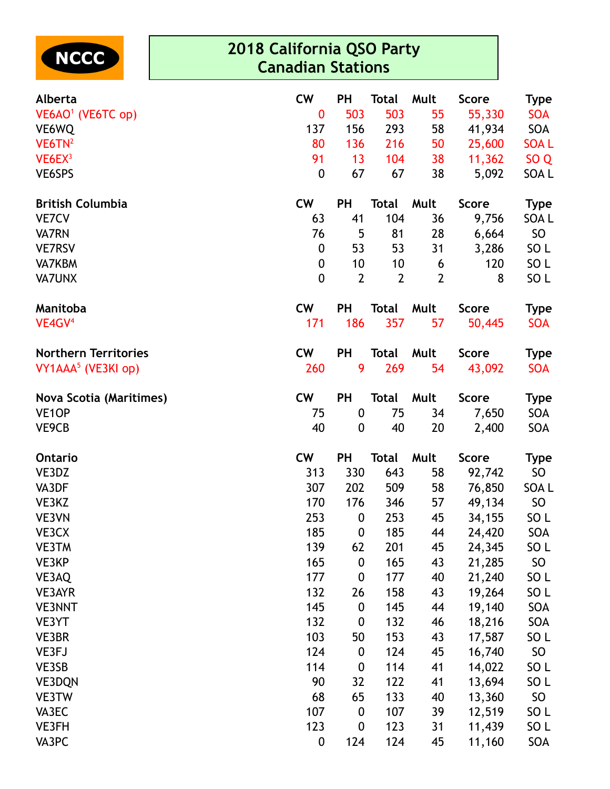

## **2018 California QSO Party Canadian Stations**

| Alberta                        | <b>CW</b>        | <b>PH</b>        | <b>Total</b>   | Mult           | <b>Score</b> | <b>Type</b>     |
|--------------------------------|------------------|------------------|----------------|----------------|--------------|-----------------|
| VE6AO <sup>1</sup> (VE6TC op)  | $\bf{0}$         | 503              | 503            | 55             | 55,330       | <b>SOA</b>      |
| VE6WQ                          | 137              | 156              | 293            | 58             | 41,934       | SOA             |
| $VE6TN^2$                      | 80               | 136              | 216            | 50             | 25,600       | <b>SOAL</b>     |
| VE6EX <sup>3</sup>             | 91               | 13               | 104            | 38             | 11,362       | SO <sub>Q</sub> |
| VE6SPS                         | $\boldsymbol{0}$ | 67               | 67             | 38             | 5,092        | SOA L           |
| <b>British Columbia</b>        | <b>CW</b>        | <b>PH</b>        | <b>Total</b>   | Mult           | <b>Score</b> | <b>Type</b>     |
| <b>VE7CV</b>                   | 63               | 41               | 104            | 36             | 9,756        | SOA L           |
| <b>VA7RN</b>                   | 76               | 5                | 81             | 28             | 6,664        | SO <sub>1</sub> |
| <b>VE7RSV</b>                  | 0                | 53               | 53             | 31             | 3,286        | SO <sub>L</sub> |
| <b>VA7KBM</b>                  | 0                | 10               | 10             | 6              | 120          | SO <sub>L</sub> |
| <b>VA7UNX</b>                  | 0                | $\overline{2}$   | $\overline{2}$ | $\overline{2}$ | 8            | SO <sub>L</sub> |
| Manitoba                       | cw               | <b>PH</b>        | <b>Total</b>   | Mult           | <b>Score</b> | <b>Type</b>     |
| VE4GV <sup>4</sup>             | 171              | 186              | 357            | 57             | 50,445       | <b>SOA</b>      |
| <b>Northern Territories</b>    | <b>CW</b>        | <b>PH</b>        | <b>Total</b>   | Mult           | <b>Score</b> | <b>Type</b>     |
| VY1AAA <sup>5</sup> (VE3KI op) | 260              | 9                | 269            | 54             | 43,092       | <b>SOA</b>      |
| <b>Nova Scotia (Maritimes)</b> | <b>CW</b>        | <b>PH</b>        | <b>Total</b>   | Mult           | <b>Score</b> | <b>Type</b>     |
| VE <sub>1</sub> OP             | 75               | $\boldsymbol{0}$ | 75             | 34             | 7,650        | <b>SOA</b>      |
| VE9CB                          | 40               | 0                | 40             | 20             | 2,400        | SOA             |
| Ontario                        | <b>CW</b>        | <b>PH</b>        | <b>Total</b>   | Mult           | <b>Score</b> | <b>Type</b>     |
| VE3DZ                          | 313              | 330              | 643            | 58             | 92,742       | SO <sub>1</sub> |
| VA3DF                          | 307              | 202              | 509            | 58             | 76,850       | SOA L           |
| VE3KZ                          | 170              | 176              | 346            | 57             | 49,134       | <b>SO</b>       |
| VE3VN                          | 253              | $\boldsymbol{0}$ | 253            | 45             | 34,155       | SO <sub>L</sub> |
| VE3CX                          | 185              | $\boldsymbol{0}$ | 185            | 44             | 24,420       | SOA             |
| <b>VE3TM</b>                   | 139              | 62               | 201            | 45             | 24,345       | SO L            |
| VE3KP                          | 165              | $\boldsymbol{0}$ | 165            | 43             | 21,285       | SO              |
| VE3AQ                          | 177              | $\boldsymbol{0}$ | 177            | 40             | 21,240       | SO <sub>L</sub> |
| VE3AYR                         | 132              | 26               | 158            | 43             | 19,264       | SO <sub>L</sub> |
| <b>VE3NNT</b>                  | 145              | $\boldsymbol{0}$ | 145            | 44             | 19,140       | SOA             |
| VE3YT                          | 132              | $\boldsymbol{0}$ | 132            | 46             | 18,216       | SOA             |
| VE3BR                          | 103              | 50               | 153            | 43             | 17,587       | SO L            |
| VE3FJ                          | 124              | $\boldsymbol{0}$ | 124            | 45             | 16,740       | SO              |
| VE3SB                          | 114              | $\boldsymbol{0}$ | 114            | 41             | 14,022       | SO <sub>L</sub> |
| <b>VE3DQN</b>                  | 90               | 32               | 122            | 41             | 13,694       | SO <sub>L</sub> |
| VE3TW                          | 68               | 65               | 133            | 40             | 13,360       | SO              |
| VA3EC                          | 107              | 0                | 107            | 39             | 12,519       | SO L            |
| VE3FH                          | 123              | $\boldsymbol{0}$ | 123            | 31             | 11,439       | SO <sub>L</sub> |
| VA3PC                          | 0                | 124              | 124            | 45             | 11,160       | SOA             |